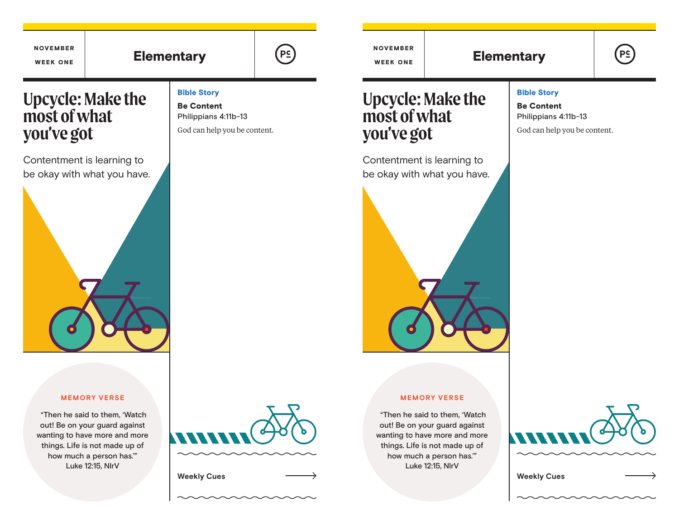## **Upcycle: Make the most of what you've got**  Contentment is learning to be okay with what you have. **Upcycle: Make the most of what you've got**  Contentment is learning to be okay with what you have. NOVEMBER WEEK ONE NOVEMBER Elementary  $\left(\begin{array}{ccc} \rho \in \\ \end{array}\right)$  week one Elementary Bible Story Be Content Philippians 4:11b-13 God can help you be content.

#### Bible Story

Be Content Philippians 4:11b-13

God can help you be content.

**PS** 

#### **MEMORY VERSE**

 "Then he said to them, 'Watch out! Be on your guard against wanting to have more and more things. Life is not made up of how much a person has.'" Luke 12:15, NIrV

# **Weekly Cues Weekly Cues**

#### **MEMORY VERSE**

 "Then he said to them, 'Watch out! Be on your guard against wanting to have more and more things. Life is not made up of how much a person has.'" Luke 12:15, NIrV